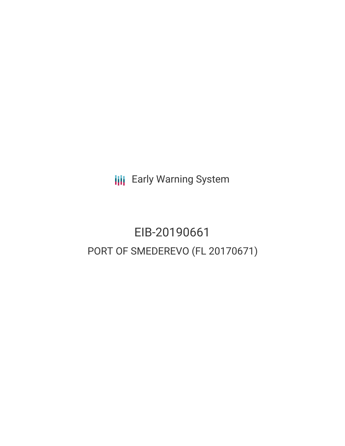**III** Early Warning System

EIB-20190661 PORT OF SMEDEREVO (FL 20170671)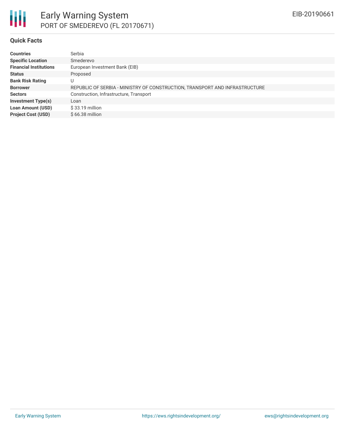

#### **Quick Facts**

| <b>Countries</b>              | Serbia                                                                      |
|-------------------------------|-----------------------------------------------------------------------------|
| <b>Specific Location</b>      | Smederevo                                                                   |
| <b>Financial Institutions</b> | European Investment Bank (EIB)                                              |
| <b>Status</b>                 | Proposed                                                                    |
| <b>Bank Risk Rating</b>       | U                                                                           |
| <b>Borrower</b>               | REPUBLIC OF SERBIA - MINISTRY OF CONSTRUCTION, TRANSPORT AND INFRASTRUCTURE |
| <b>Sectors</b>                | Construction, Infrastructure, Transport                                     |
| <b>Investment Type(s)</b>     | Loan                                                                        |
| <b>Loan Amount (USD)</b>      | $$33.19$ million                                                            |
| <b>Project Cost (USD)</b>     | $$66.38$ million                                                            |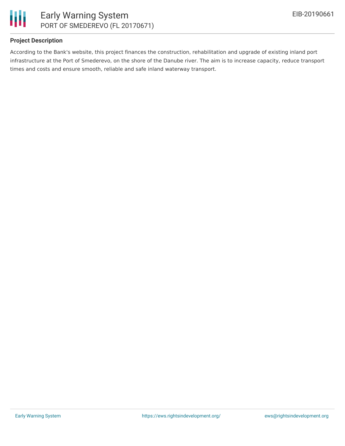

### **Project Description**

According to the Bank's website, this project finances the construction, rehabilitation and upgrade of existing inland port infrastructure at the Port of Smederevo, on the shore of the Danube river. The aim is to increase capacity, reduce transport times and costs and ensure smooth, reliable and safe inland waterway transport.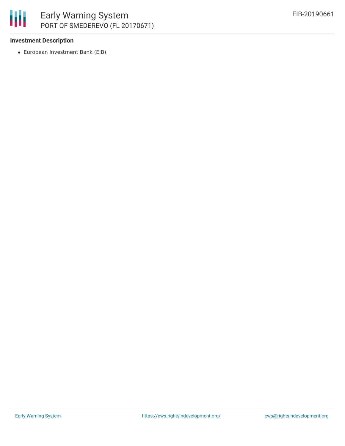

### **Investment Description**

European Investment Bank (EIB)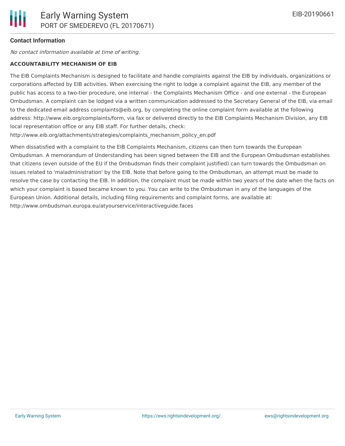## **Contact Information**

No contact information available at time of writing.

# **ACCOUNTABILITY MECHANISM OF EIB**

The EIB Complaints Mechanism is designed to facilitate and handle complaints against the EIB by individuals, organizations or corporations affected by EIB activities. When exercising the right to lodge a complaint against the EIB, any member of the public has access to a two-tier procedure, one internal - the Complaints Mechanism Office - and one external - the European Ombudsman. A complaint can be lodged via a written communication addressed to the Secretary General of the EIB, via email to the dedicated email address complaints@eib.org, by completing the online complaint form available at the following address: http://www.eib.org/complaints/form, via fax or delivered directly to the EIB Complaints Mechanism Division, any EIB local representation office or any EIB staff. For further details, check:

http://www.eib.org/attachments/strategies/complaints\_mechanism\_policy\_en.pdf

When dissatisfied with a complaint to the EIB Complaints Mechanism, citizens can then turn towards the European Ombudsman. A memorandum of Understanding has been signed between the EIB and the European Ombudsman establishes that citizens (even outside of the EU if the Ombudsman finds their complaint justified) can turn towards the Ombudsman on issues related to 'maladministration' by the EIB. Note that before going to the Ombudsman, an attempt must be made to resolve the case by contacting the EIB. In addition, the complaint must be made within two years of the date when the facts on which your complaint is based became known to you. You can write to the Ombudsman in any of the languages of the European Union. Additional details, including filing requirements and complaint forms, are available at: http://www.ombudsman.europa.eu/atyourservice/interactiveguide.faces